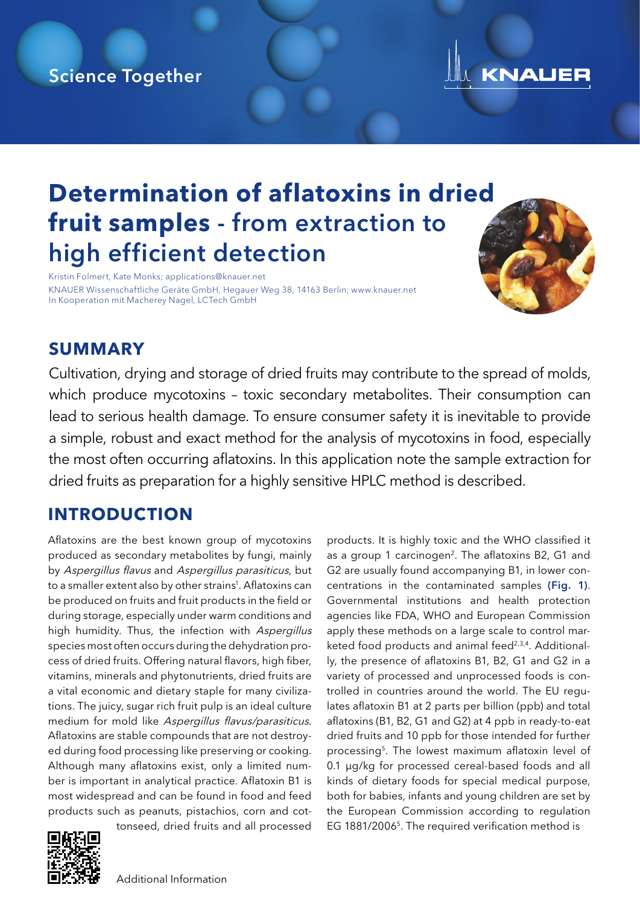## Science Together



# **Determination of aflatoxins in dried fruit samples** - from extraction to high efficient detection

Kristin Folmert, Kate Monks; applications@knauer.net KNAUER Wissenschaftliche Geräte GmbH, Hegauer Weg 38, 14163 Berlin; www.knauer.net In Kooperation mit Macherey Nagel, LCTech GmbH



#### **SUMMARY**

Cultivation, drying and storage of dried fruits may contribute to the spread of molds, which produce mycotoxins – toxic secondary metabolites. Their consumption can lead to serious health damage. To ensure consumer safety it is inevitable to provide a simple, robust and exact method for the analysis of mycotoxins in food, especially the most often occurring aflatoxins. In this application note the sample extraction for dried fruits as preparation for a highly sensitive HPLC method is described.

## **INTRODUCTION**

Aflatoxins are the best known group of mycotoxins produced as secondary metabolites by fungi, mainly by Aspergillus flavus and Aspergillus parasiticus, but to a smaller extent also by other strains<sup>1</sup>. Aflatoxins can be produced on fruits and fruit products in the field or during storage, especially under warm conditions and high humidity. Thus, the infection with Aspergillus species most often occurs during the dehydration process of dried fruits. Offering natural flavors, high fiber, vitamins, minerals and phytonutrients, dried fruits are a vital economic and dietary staple for many civilizations. The juicy, sugar rich fruit pulp is an ideal culture medium for mold like Aspergillus flavus/parasiticus. Aflatoxins are stable compounds that are not destroyed during food processing like preserving or cooking. Although many aflatoxins exist, only a limited number is important in analytical practice. Aflatoxin B1 is most widespread and can be found in food and feed [products such](https://www.knauer.net/en/prod/vfd0181) as peanuts, pistachios, corn and cottonseed, dried fruits and all processed

products. It is highly toxic and the WHO classified it as a group 1 carcinogen<sup>2</sup>. The aflatoxins B2, G1 and G2 are usually found accompanying B1, in lower concentrations in the contaminated samples (Fig. 1). Governmental institutions and health protection agencies like FDA, WHO and European Commission apply these methods on a large scale to control marketed food products and animal feed<sup>2,3,4</sup>. Additionally, the presence of aflatoxins B1, B2, G1 and G2 in a variety of processed and unprocessed foods is controlled in countries around the world. The EU regulates aflatoxin B1 at 2 parts per billion (ppb) and total aflatoxins (B1, B2, G1 and G2) at 4 ppb in ready-to-eat dried fruits and 10 ppb for those intended for further processing5. The lowest maximum aflatoxin level of 0.1 µg/kg for processed cereal-based foods and all kinds of dietary foods for special medical purpose, both for babies, infants and young children are set by the European Commission according to regulation EG 1881/20065. The required verification method is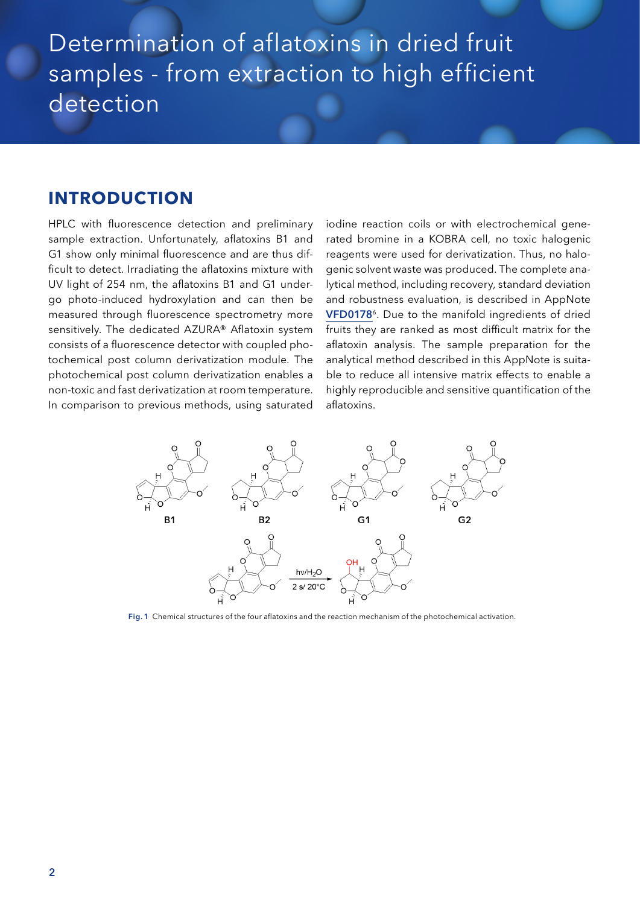# Determination of aflatoxins in dried fruit samples - from extraction to high efficient detection

#### **INTRODUCTION**

HPLC with fluorescence detection and preliminary sample extraction. Unfortunately, aflatoxins B1 and G1 show only minimal fluorescence and are thus difficult to detect. Irradiating the aflatoxins mixture with UV light of 254 nm, the aflatoxins B1 and G1 undergo photo-induced hydroxylation and can then be measured through fluorescence spectrometry more sensitively. The dedicated AZURA® Aflatoxin system consists of a fluorescence detector with coupled photochemical post column derivatization module. The photochemical post column derivatization enables a non-toxic and fast derivatization at room temperature. In comparison to previous methods, using saturated

iodine reaction coils or with electrochemical generated bromine in a KOBRA cell, no toxic halogenic reagents were used for derivatization. Thus, no halogenic solvent waste was produced. The complete analytical method, including recovery, standard deviation and robustness evaluation, is described in AppNote [VFD0178](http://knauer.net/en/prod/VFD0178)<sup>6</sup>. Due to the manifold ingredients of dried fruits they are ranked as most difficult matrix for the aflatoxin analysis. The sample preparation for the analytical method described in this AppNote is suitable to reduce all intensive matrix effects to enable a highly reproducible and sensitive quantification of the aflatoxins.



Fig. 1 Chemical structures of the four aflatoxins and the reaction mechanism of the photochemical activation.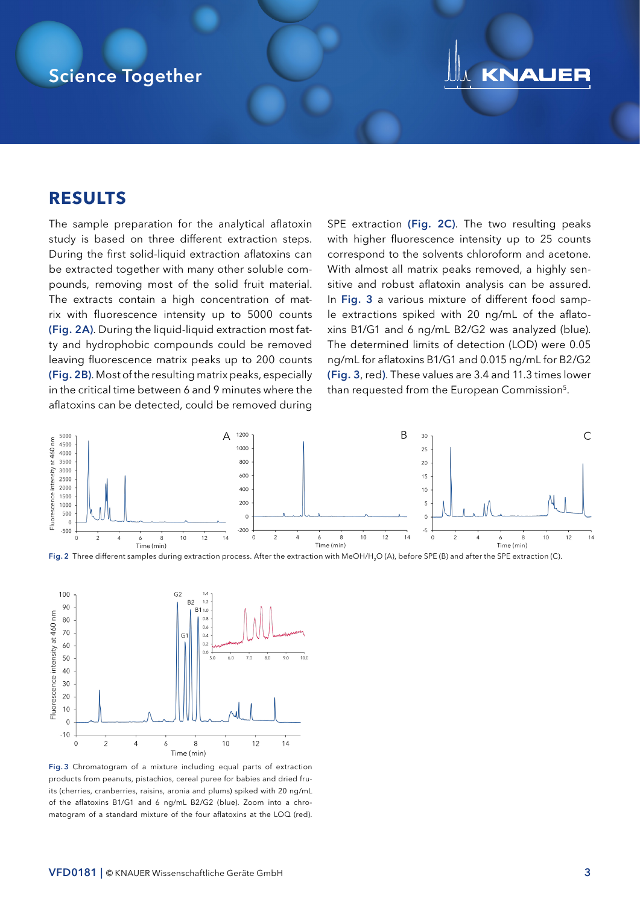#### Science Together

## **KNAUER**

#### **RESULTS**

The sample preparation for the analytical aflatoxin study is based on three different extraction steps. During the first solid-liquid extraction aflatoxins can be extracted together with many other soluble compounds, removing most of the solid fruit material. The extracts contain a high concentration of matrix with fluorescence intensity up to 5000 counts (Fig. 2A). During the liquid-liquid extraction most fatty and hydrophobic compounds could be removed leaving fluorescence matrix peaks up to 200 counts (Fig. 2B). Most of the resulting matrix peaks, especially in the critical time between 6 and 9 minutes where the aflatoxins can be detected, could be removed during SPE extraction (Fig. 2C). The two resulting peaks with higher fluorescence intensity up to 25 counts correspond to the solvents chloroform and acetone. With almost all matrix peaks removed, a highly sensitive and robust aflatoxin analysis can be assured. In Fig. 3 a various mixture of different food sample extractions spiked with 20 ng/mL of the aflatoxins B1/G1 and 6 ng/mL B2/G2 was analyzed (blue). The determined limits of detection (LOD) were 0.05 ng/mL for aflatoxins B1/G1 and 0.015 ng/mL for B2/G2 (Fig. 3, red). These values are 3.4 and 11.3 times lower than requested from the European Commission<sup>5</sup>.







Fig. 3 Chromatogram of a mixture including equal parts of extraction products from peanuts, pistachios, cereal puree for babies and dried fruits (cherries, cranberries, raisins, aronia and plums) spiked with 20 ng/mL of the aflatoxins B1/G1 and 6 ng/mL B2/G2 (blue). Zoom into a chromatogram of a standard mixture of the four aflatoxins at the LOQ (red).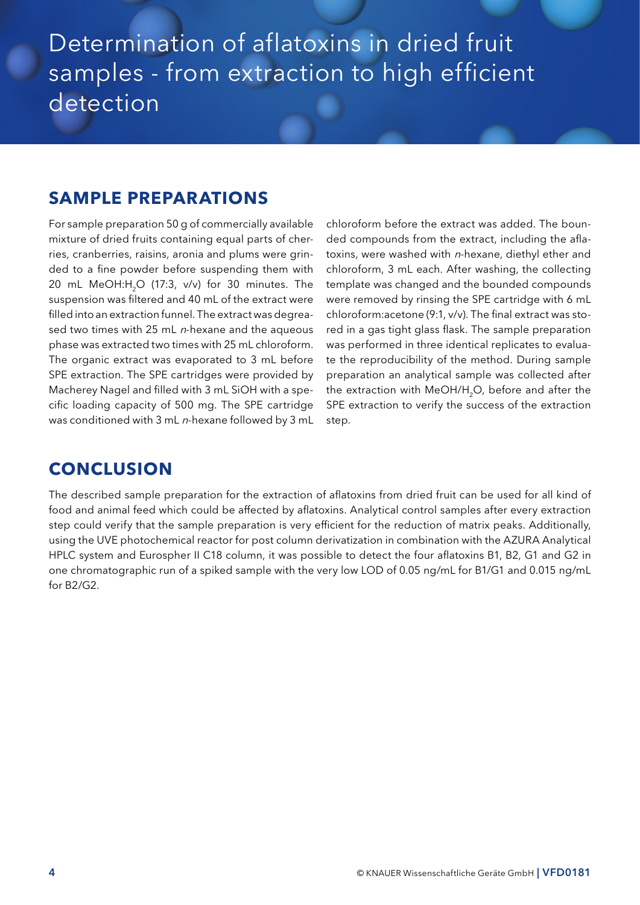## Determination of aflatoxins in dried fruit samples - from extraction to high efficient detection

#### **SAMPLE PREPARATIONS**

For sample preparation 50 g of commercially available mixture of dried fruits containing equal parts of cherries, cranberries, raisins, aronia and plums were grinded to a fine powder before suspending them with 20 mL MeOH:H<sub>2</sub>O (17:3, v/v) for 30 minutes. The suspension was filtered and 40 mL of the extract were filled into an extraction funnel. The extract was degreased two times with 25 mL  $n$ -hexane and the aqueous phase was extracted two times with 25 mL chloroform. The organic extract was evaporated to 3 mL before SPE extraction. The SPE cartridges were provided by Macherey Nagel and filled with 3 mL SiOH with a specific loading capacity of 500 mg. The SPE cartridge was conditioned with 3 mL n-hexane followed by 3 mL

chloroform before the extract was added. The bounded compounds from the extract, including the aflatoxins, were washed with n-hexane, diethyl ether and chloroform, 3 mL each. After washing, the collecting template was changed and the bounded compounds were removed by rinsing the SPE cartridge with 6 mL chloroform:acetone (9:1, v/v). The final extract was stored in a gas tight glass flask. The sample preparation was performed in three identical replicates to evaluate the reproducibility of the method. During sample preparation an analytical sample was collected after the extraction with MeOH/H<sub>2</sub>O, before and after the SPE extraction to verify the success of the extraction step.

#### **CONCLUSION**

The described sample preparation for the extraction of aflatoxins from dried fruit can be used for all kind of food and animal feed which could be affected by aflatoxins. Analytical control samples after every extraction step could verify that the sample preparation is very efficient for the reduction of matrix peaks. Additionally, using the UVE photochemical reactor for post column derivatization in combination with the AZURA Analytical HPLC system and Eurospher II C18 column, it was possible to detect the four aflatoxins B1, B2, G1 and G2 in one chromatographic run of a spiked sample with the very low LOD of 0.05 ng/mL for B1/G1 and 0.015 ng/mL for B2/G2.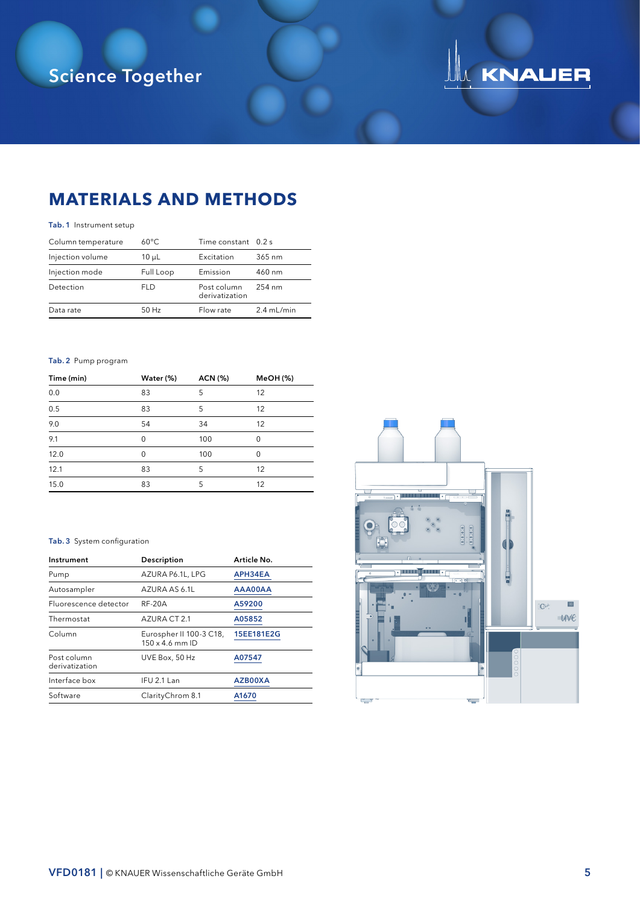# Science Together

# UM KNAUER

## **MATERIALS AND METHODS**

#### Tab. 1 Instrument setup

| Column temperature | $60^{\circ}$ C | Time constant 0.2 s           |              |
|--------------------|----------------|-------------------------------|--------------|
| Injection volume   | $10 \mu L$     | Excitation                    | 365 nm       |
| Injection mode     | Full Loop      | Emission                      | 460 nm       |
| Detection          | <b>FLD</b>     | Post column<br>derivatization | 254 nm       |
| Data rate          | $50$ Hz        | Flow rate                     | $2.4$ mL/min |

#### Tab. 2 Pump program

| Time (min)       | Water (%) | ACN (%) | <b>MeOH</b> (%) |
|------------------|-----------|---------|-----------------|
| 0.0              | 83        | 5       | 12              |
| $\overline{0.5}$ | 83        | 5       | 12              |
| 9.0              | 54        | 34      | 12              |
| 9.1              | $\Omega$  | 100     | $\Omega$        |
| 12.0             | 0         | 100     | $\Omega$        |
| 12.1             | 83        | 5       | 12              |
| 15.0             | 83        | 5       | 12              |

#### Tab. 3 System configuration

| Instrument                    | Description                                       | Article No. |
|-------------------------------|---------------------------------------------------|-------------|
| Pump                          | AZURA P6.1L, LPG                                  | APH34EA     |
| Autosampler                   | AZURA AS 6.1L                                     | AAA00AA     |
| Fluorescence detector         | <b>RF-20A</b>                                     | A59200      |
| Thermostat                    | AZURA CT 2.1                                      | A05852      |
| Column                        | Eurospher II 100-3 C18,<br>$150 \times 4.6$ mm ID | 15EE181E2G  |
| Post column<br>derivatization | UVE Box, 50 Hz                                    | A07547      |
| Interface box                 | IFU 2.1 Lan                                       | AZB00XA     |
| Software                      | ClarityChrom 8.1                                  | A1670       |